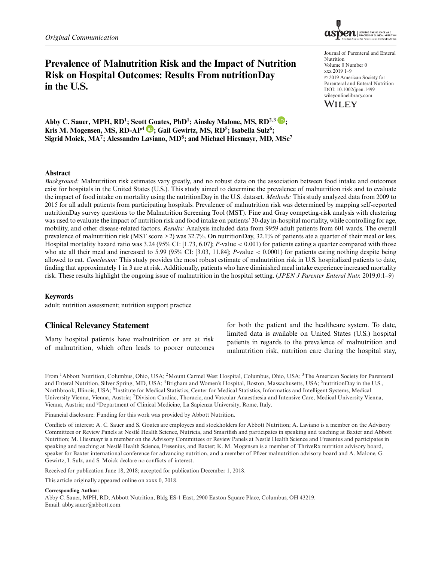

# **Prevalence of Malnutrition Risk and the Impact of Nutrition Risk on Hospital Outcomes: Results From nutritionDay in the U.S.**

Journal of Parenteral and Enteral Nutrition Volume 0 Number 0 xxx 2019 1–9 © 2019 American Society for Parenteral and Enteral Nutrition DOI: 10.1002/jpen.1499 wileyonlinelibrary.com

WILEY

Abby C. Sauer, MPH, RD<sup>1</sup>; Scot[t Go](https://orcid.org/0000-0001-9510-3018)ates, PhD<sup>1</sup>[;](https://orcid.org/0000-0001-8345-0303) Ainsley Malone, MS, RD<sup>2,3</sup> <sup>1</sup><sup>2</sup>; Kris M. Mogensen, MS, RD-AP<sup>4</sup> **D**; Gail Gewirtz, MS, RD<sup>5</sup>; Isabella Sulz<sup>6</sup>; **Sigrid Moick, MA7; Alessandro Laviano, MD8; and Michael Hiesmayr, MD, MSc7**

### **Abstract**

*Background:* Malnutrition risk estimates vary greatly, and no robust data on the association between food intake and outcomes exist for hospitals in the United States (U.S.). This study aimed to determine the prevalence of malnutrition risk and to evaluate the impact of food intake on mortality using the nutritionDay in the U.S. dataset. *Methods:* This study analyzed data from 2009 to 2015 for all adult patients from participating hospitals. Prevalence of malnutrition risk was determined by mapping self -reported nutritionDay survey questions to the Malnutrition Screening Tool (MST). Fine and Gray competing-risk analysis with clustering was used to evaluate the impact of nutrition risk and food intake on patients' 30-day in-hospital mortality, while controlling for age, mobility, and other disease-related factors. *Results:* Analysis included data from 9959 adult patients from 601 wards. The overall prevalence of malnutrition risk (MST score  $\geq$ 2) was 32.7%. On nutritionDay, 32.1% of patients ate a quarter of their meal or less. Hospital mortality hazard ratio was 3.24 (95% CI: [1.73, 6.07]; *P*-value < 0.001) for patients eating a quarter compared with those who ate all their meal and increased to 5.99 (95% CI: [3.03, 11.84]; *P*-value < 0.0001) for patients eating nothing despite being allowed to eat. *Conclusion:* This study provides the most robust estimate of malnutrition risk in U.S. hospitalized patients to date, finding that approximately 1 in 3 are at risk. Additionally, patients who have diminished meal intake experience increased mortality risk. These results highlight the ongoing issue of malnutrition in the hospital setting. (*JPEN J Parenter Enteral Nutr.* 2019;0:1–9)

### **Keywords**

adult; nutrition assessment; nutrition support practice

### **Clinical Relevancy Statement**

Many hospital patients have malnutrition or are at risk of malnutrition, which often leads to poorer outcomes for both the patient and the healthcare system. To date, limited data is available on United States (U.S.) hospital patients in regards to the prevalence of malnutrition and malnutrition risk, nutrition care during the hospital stay,

Financial disclosure: Funding for this work was provided by Abbott Nutrition.

Conflicts of interest: A. C. Sauer and S. Goates are employees and stockholders for Abbott Nutrition; A. Laviano is a member on the Advisory Committees or Review Panels at Nestle Health Science, Nutricia, and Smartfish and participates in speaking and teaching at Baxter and Abbott ´ Nutrition; M. Hiesmayr is a member on the Advisory Committees or Review Panels at Nestle Health Science and Fresenius and participates in ´ speaking and teaching at Nestle Health Science, Fresenius, and Baxter; K. M. Mogensen is a member of ThriveRx nutrition advisory board, ´ speaker for Baxter international conference for advancing nutrition, and a member of Pfizer malnutrition advisory board and A. Malone, G. Gewirtz, I. Sulz, and S. Moick declare no conflicts of interest.

Received for publication June 18, 2018; accepted for publication December 1, 2018.

This article originally appeared online on xxxx 0, 2018.

**Corresponding Author:**

Abby C. Sauer, MPH, RD, Abbott Nutrition, Bldg ES-1 East, 2900 Easton Square Place, Columbus, OH 43219. Email: abby.sauer@abbott.com

From <sup>1</sup>Abbott Nutrition, Columbus, Ohio, USA; <sup>2</sup>Mount Carmel West Hospital, Columbus, Ohio, USA; <sup>3</sup>The American Society for Parenteral and Enteral Nutrition, Silver Spring, MD, USA; <sup>4</sup>Brigham and Women's Hospital, Boston, Massachusetts, USA; <sup>5</sup>nutritionDay in the U.S., Northbrook, Illinois, USA; <sup>6</sup>Institute for Medical Statistics, Center for Medical Statistics, Informatics and Intelligent Systems, Medical University Vienna, Vienna, Austria; 7Division Cardiac, Thoracic, and Vascular Anaesthesia and Intensive Care, Medical University Vienna, Vienna, Austria; and 8Department of Clinical Medicine, La Sapienza University, Rome, Italy.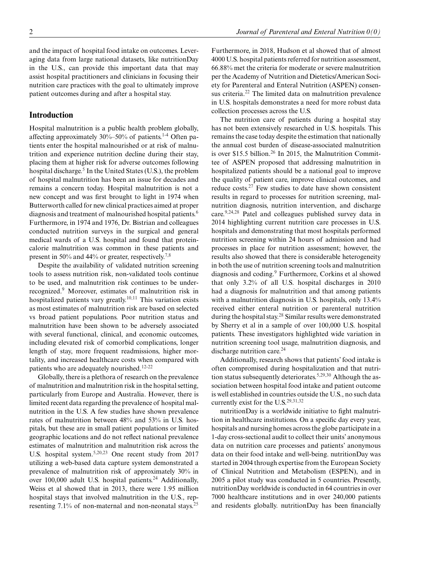and the impact of hospital food intake on outcomes. Leveraging data from large national datasets, like nutritionDay in the U.S., can provide this important data that may assist hospital practitioners and clinicians in focusing their nutrition care practices with the goal to ultimately improve patient outcomes during and after a hospital stay.

# **Introduction**

Hospital malnutrition is a public health problem globally, affecting approximately  $30\% - 50\%$  of patients.<sup>1-4</sup> Often patients enter the hospital malnourished or at risk of malnutrition and experience nutrition decline during their stay, placing them at higher risk for adverse outcomes following hospital discharge.<sup>5</sup> In the United States (U.S.), the problem of hospital malnutrition has been an issue for decades and remains a concern today. Hospital malnutrition is not a new concept and was first brought to light in 1974 when Butterworth called for new clinical practices aimed at proper diagnosis and treatment of malnourished hospital patients.<sup>6</sup> Furthermore, in 1974 and 1976, Dr. Bistrian and colleagues conducted nutrition surveys in the surgical and general medical wards of a U.S. hospital and found that proteincalorie malnutrition was common in these patients and present in 50% and 44% or greater, respectively.<sup>7,8</sup>

Despite the availability of validated nutrition screening tools to assess nutrition risk, non-validated tools continue to be used, and malnutrition risk continues to be underrecognized.9 Moreover, estimates of malnutrition risk in hospitalized patients vary greatly.<sup>10,11</sup> This variation exists as most estimates of malnutrition risk are based on selected vs broad patient populations. Poor nutrition status and malnutrition have been shown to be adversely associated with several functional, clinical, and economic outcomes, including elevated risk of comorbid complications, longer length of stay, more frequent readmissions, higher mortality, and increased healthcare costs when compared with patients who are adequately nourished.<sup>12-22</sup>

Globally, there is a plethora of research on the prevalence of malnutrition and malnutrition risk in the hospital setting, particularly from Europe and Australia. However, there is limited recent data regarding the prevalence of hospital malnutrition in the U.S. A few studies have shown prevalence rates of malnutrition between 48% and 53% in U.S. hospitals, but these are in small patient populations or limited geographic locations and do not reflect national prevalence estimates of malnutrition and malnutrition risk across the U.S. hospital system.5,20,23 One recent study from 2017 utilizing a web-based data capture system demonstrated a prevalence of malnutrition risk of approximately 30% in over 100,000 adult U.S. hospital patients.<sup>24</sup> Additionally, Weiss et al showed that in 2013, there were 1.95 million hospital stays that involved malnutrition in the U.S., representing  $7.1\%$  of non-maternal and non-neonatal stays.<sup>25</sup> Furthermore, in 2018, Hudson et al showed that of almost 4000 U.S. hospital patients referred for nutrition assessment, 66.88% met the criteria for moderate or severe malnutrition per the Academy of Nutrition and Dietetics/American Society for Parenteral and Enteral Nutrition (ASPEN) consensus criteria.<sup>22</sup> The limited data on malnutrition prevalence in U.S. hospitals demonstrates a need for more robust data collection processes across the U.S.

The nutrition care of patients during a hospital stay has not been extensively researched in U.S. hospitals. This remains the case today despite the estimation that nationally the annual cost burden of disease-associated malnutrition is over \$15.5 billion.<sup>26</sup> In 2015, the Malnutrition Committee of ASPEN proposed that addressing malnutrition in hospitalized patients should be a national goal to improve the quality of patient care, improve clinical outcomes, and reduce  $costs$ .<sup>27</sup> Few studies to date have shown consistent results in regard to processes for nutrition screening, malnutrition diagnosis, nutrition intervention, and discharge care.9,24,28 Patel and colleagues published survey data in 2014 highlighting current nutrition care processes in U.S. hospitals and demonstrating that most hospitals performed nutrition screening within 24 hours of admission and had processes in place for nutrition assessment; however, the results also showed that there is considerable heterogeneity in both the use of nutrition screening tools and malnutrition diagnosis and coding.9 Furthermore, Corkins et al showed that only 3.2% of all U.S. hospital discharges in 2010 had a diagnosis for malnutrition and that among patients with a malnutrition diagnosis in U.S. hospitals, only 13.4% received either enteral nutrition or parenteral nutrition during the hospital stay.<sup>28</sup> Similar results were demonstrated by Sherry et al in a sample of over 100,000 U.S. hospital patients. These investigators highlighted wide variation in nutrition screening tool usage, malnutrition diagnosis, and discharge nutrition care.<sup>24</sup>

Additionally, research shows that patients' food intake is often compromised during hospitalization and that nutrition status subsequently deteriorates.<sup>5,29,30</sup> Although the association between hospital food intake and patient outcome is well established in countries outside the U.S., no such data currently exist for the U.S.<sup>29,31,32</sup>

nutritionDay is a worldwide initiative to fight malnutrition in healthcare institutions. On a specific day every year, hospitals and nursing homes across the globe participate in a 1-day cross-sectional audit to collect their units' anonymous data on nutrition care processes and patients' anonymous data on their food intake and well-being. nutritionDay was started in 2004 through expertise from the European Society of Clinical Nutrition and Metabolism (ESPEN), and in 2005 a pilot study was conducted in 5 countries. Presently, nutritionDay worldwide is conducted in 64 countries in over 7000 healthcare institutions and in over 240,000 patients and residents globally. nutritionDay has been financially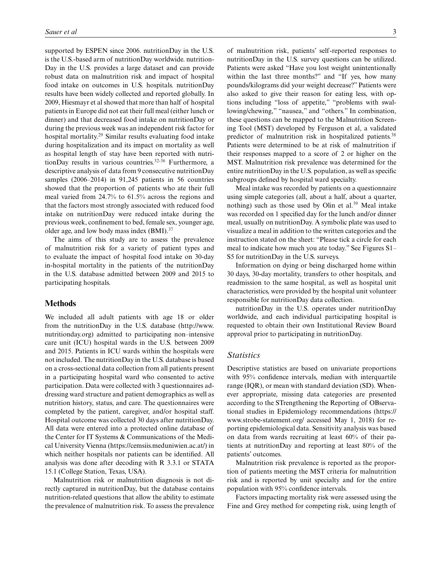supported by ESPEN since 2006. nutritionDay in the U.S. is the U.S.-based arm of nutritionDay worldwide. nutrition-Day in the U.S. provides a large dataset and can provide robust data on malnutrition risk and impact of hospital food intake on outcomes in U.S. hospitals. nutritionDay results have been widely collected and reported globally. In 2009, Hiesmayr et al showed that more than half of hospital patients in Europe did not eat their full meal (either lunch or dinner) and that decreased food intake on nutritionDay or during the previous week was an independent risk factor for hospital mortality.29 Similar results evaluating food intake during hospitalization and its impact on mortality as well as hospital length of stay have been reported with nutritionDay results in various countries.<sup>32-36</sup> Furthermore, a descriptive analysis of data from 9 consecutive nutritionDay samples (2006–2014) in 91,245 patients in 56 countries showed that the proportion of patients who ate their full meal varied from 24.7% to 61.5% across the regions and that the factors most strongly associated with reduced food intake on nutritionDay were reduced intake during the previous week, confinement to bed, female sex, younger age, older age, and low body mass index (BMI).<sup>37</sup>

The aims of this study are to assess the prevalence of malnutrition risk for a variety of patient types and to evaluate the impact of hospital food intake on 30-day in-hospital mortality in the patients of the nutritionDay in the U.S. database admitted between 2009 and 2015 to participating hospitals.

### **Methods**

We included all adult patients with age 18 or older from the nutritionDay in the U.S. database [\(http://www.](http://www.nutritionday.org) [nutritionday.org\)](http://www.nutritionday.org) admitted to participating non–intensive care unit (ICU) hospital wards in the U.S. between 2009 and 2015. Patients in ICU wards within the hospitals were not included. The nutritionDay in the U.S. database is based on a cross-sectional data collection from all patients present in a participating hospital ward who consented to active participation. Data were collected with 3 questionnaires addressing ward structure and patient demographics as well as nutrition history, status, and care. The questionnaires were completed by the patient, caregiver, and/or hospital staff. Hospital outcome was collected 30 days after nutritionDay. All data were entered into a protected online database of the Center for IT Systems & Communications of the Medical University Vienna [\(https://cemsiis.meduniwien.ac.at/\)](https://cemsiis.meduniwien.ac.at/) in which neither hospitals nor patients can be identified. All analysis was done after decoding with R 3.3.1 or STATA 15.1 (College Station, Texas, USA).

Malnutrition risk or malnutrition diagnosis is not directly captured in nutritionDay, but the database contains nutrition-related questions that allow the ability to estimate the prevalence of malnutrition risk. To assess the prevalence of malnutrition risk, patients' self -reported responses to nutritionDay in the U.S. survey questions can be utilized. Patients were asked "Have you lost weight unintentionally within the last three months?" and "If yes, how many pounds/kilograms did your weight decrease?" Patients were also asked to give their reason for eating less, with options including "loss of appetite," "problems with swallowing/chewing," "nausea," and "others." In combination, these questions can be mapped to the Malnutrition Screening Tool (MST) developed by Ferguson et al, a validated predictor of malnutrition risk in hospitalized patients.<sup>38</sup> Patients were determined to be at risk of malnutrition if their responses mapped to a score of 2 or higher on the MST. Malnutrition risk prevalence was determined for the entire nutritionDay in the U.S. population, as well as specific subgroups defined by hospital ward specialty.

Meal intake was recorded by patients on a questionnaire using simple categories (all, about a half, about a quarter, nothing) such as those used by Olin et al. $39$  Meal intake was recorded on 1 specified day for the lunch and/or dinner meal, usually on nutritionDay. A symbolic plate was used to visualize a meal in addition to the written categories and the instruction stated on the sheet: "Please tick a circle for each meal to indicate how much you ate today." See Figures S1– S5 for nutritionDay in the U.S. surveys.

Information on dying or being discharged home within 30 days, 30-day mortality, transfers to other hospitals, and readmission to the same hospital, as well as hospital unit characteristics, were provided by the hospital unit volunteer responsible for nutritionDay data collection.

nutritionDay in the U.S. operates under nutritionDay worldwide, and each individual participating hospital is requested to obtain their own Institutional Review Board approval prior to participating in nutritionDay.

#### *Statistics*

Descriptive statistics are based on univariate proportions with 95% confidence intervals, median with interquartile range (IQR), or mean with standard deviation (SD). Whenever appropriate, missing data categories are presented according to the STrengthening the Reporting of OBservational studies in Epidemiology recommendations [\(https://](https://www.strobe-statement.org/) [www.strobe-statement.org/](https://www.strobe-statement.org/) accessed May 1, 2018) for reporting epidemiological data. Sensitivity analysis was based on data from wards recruiting at least 60% of their patients at nutritionDay and reporting at least 80% of the patients' outcomes.

Malnutrition risk prevalence is reported as the proportion of patients meeting the MST criteria for malnutrition risk and is reported by unit specialty and for the entire population with 95% confidence intervals.

Factors impacting mortality risk were assessed using the Fine and Grey method for competing risk, using length of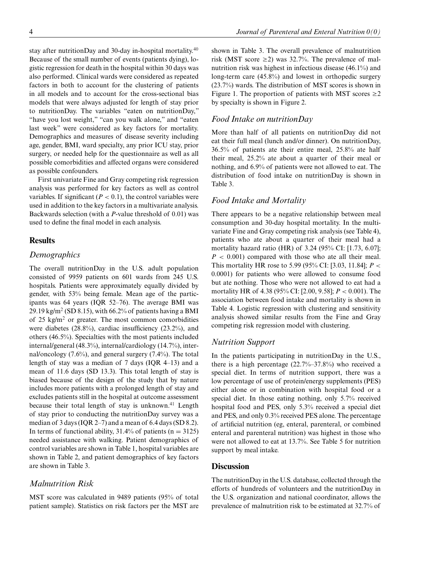stay after nutritionDay and 30-day in-hospital mortality.<sup>40</sup> Because of the small number of events (patients dying), logistic regression for death in the hospital within 30 days was also performed. Clinical wards were considered as repeated factors in both to account for the clustering of patients in all models and to account for the cross-sectional bias models that were always adjusted for length of stay prior to nutritionDay. The variables "eaten on nutritionDay," "have you lost weight," "can you walk alone," and "eaten last week" were considered as key factors for mortality. Demographics and measures of disease severity including age, gender, BMI, ward specialty, any prior ICU stay, prior surgery, or needed help for the questionnaire as well as all possible comorbidities and affected organs were considered as possible confounders.

First univariate Fine and Gray competing risk regression analysis was performed for key factors as well as control variables. If significant  $(P < 0.1)$ , the control variables were used in addition to the key factors in a multivariate analysis. Backwards selection (with a *P*-value threshold of 0.01) was used to define the final model in each analysis.

# **Results**

## *Demographics*

The overall nutritionDay in the U.S. adult population consisted of 9959 patients on 601 wards from 245 U.S. hospitals. Patients were approximately equally divided by gender, with 53% being female. Mean age of the participants was 64 years (IQR 52–76). The average BMI was 29.19 kg/m<sup>2</sup> (SD 8.15), with 66.2% of patients having a BMI of 25 kg/m<sup>2</sup> or greater. The most common comorbidities were diabetes (28.8%), cardiac insufficiency (23.2%), and others (46.5%). Specialties with the most patients included internal/general (48.3%), internal/cardiology (14.7%), internal/oncology (7.6%), and general surgery (7.4%). The total length of stay was a median of 7 days (IQR 4–13) and a mean of 11.6 days (SD 13.3). This total length of stay is biased because of the design of the study that by nature includes more patients with a prolonged length of stay and excludes patients still in the hospital at outcome assessment because their total length of stay is unknown.<sup>41</sup> Length of stay prior to conducting the nutritionDay survey was a median of 3 days (IQR 2–7) and a mean of 6.4 days (SD 8.2). In terms of functional ability,  $31.4\%$  of patients (n = 3125) needed assistance with walking. Patient demographics of control variables are shown in Table 1, hospital variables are shown in Table 2, and patient demographics of key factors are shown in Table 3.

# *Malnutrition Risk*

MST score was calculated in 9489 patients (95% of total patient sample). Statistics on risk factors per the MST are shown in Table 3. The overall prevalence of malnutrition risk (MST score  $\geq$ 2) was 32.7%. The prevalence of malnutrition risk was highest in infectious disease (46.1%) and long-term care (45.8%) and lowest in orthopedic surgery (23.7%) wards. The distribution of MST scores is shown in Figure 1. The proportion of patients with MST scores  $\geq 2$ by specialty is shown in Figure 2.

## *Food Intake on nutritionDay*

More than half of all patients on nutritionDay did not eat their full meal (lunch and/or dinner). On nutritionDay, 36.5% of patients ate their entire meal, 25.8% ate half their meal, 25.2% ate about a quarter of their meal or nothing, and 6.9% of patients were not allowed to eat. The distribution of food intake on nutritionDay is shown in Table 3.

# *Food Intake and Mortality*

There appears to be a negative relationship between meal consumption and 30-day hospital mortality. In the multivariate Fine and Gray competing risk analysis (see Table 4), patients who ate about a quarter of their meal had a mortality hazard ratio (HR) of 3.24 (95% CI: [1.73, 6.07]; *P* < 0.001) compared with those who ate all their meal. This mortality HR rose to 5.99 (95% CI: [3.03, 11.84]; *P* < 0.0001) for patients who were allowed to consume food but ate nothing. Those who were not allowed to eat had a mortality HR of 4.38 (95% CI: [2.00, 9.58]; *P* < 0.001). The association between food intake and mortality is shown in Table 4. Logistic regression with clustering and sensitivity analysis showed similar results from the Fine and Gray competing risk regression model with clustering.

# *Nutrition Support*

In the patients participating in nutritionDay in the U.S., there is a high percentage  $(22.7\% - 37.8\%)$  who received a special diet. In terms of nutrition support, there was a low percentage of use of protein/energy supplements (PES) either alone or in combination with hospital food or a special diet. In those eating nothing, only 5.7% received hospital food and PES, only 5.3% received a special diet and PES, and only 0.3% received PES alone. The percentage of artificial nutrition (eg, enteral, parenteral, or combined enteral and parenteral nutrition) was highest in those who were not allowed to eat at 13.7%. See Table 5 for nutrition support by meal intake.

### **Discussion**

The nutritionDay in the U.S. database, collected through the efforts of hundreds of volunteers and the nutritionDay in the U.S. organization and national coordinator, allows the prevalence of malnutrition risk to be estimated at 32.7% of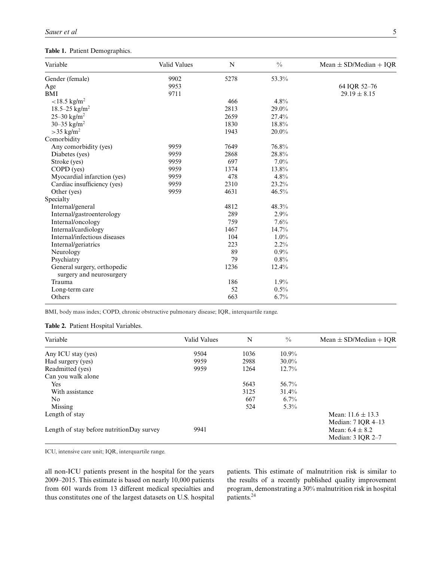### **Table 1.** Patient Demographics.

| Variable                                                | Valid Values | N    | $\frac{0}{0}$ | Mean $\pm$ SD/Median + IQR |
|---------------------------------------------------------|--------------|------|---------------|----------------------------|
| Gender (female)                                         | 9902         | 5278 | 53.3%         |                            |
| Age                                                     | 9953         |      |               | 64 IQR 52-76               |
| <b>BMI</b>                                              | 9711         |      |               | $29.19 \pm 8.15$           |
| $<$ 18.5 kg/m <sup>2</sup>                              |              | 466  | 4.8%          |                            |
| $18.5 - 25$ kg/m <sup>2</sup>                           |              | 2813 | 29.0%         |                            |
| 25-30 kg/m <sup>2</sup>                                 |              | 2659 | 27.4%         |                            |
| 30-35 $\text{kg/m}^2$                                   |              | 1830 | 18.8%         |                            |
| $>$ 35 kg/m <sup>2</sup>                                |              | 1943 | $20.0\%$      |                            |
| Comorbidity                                             |              |      |               |                            |
| Any comorbidity (yes)                                   | 9959         | 7649 | 76.8%         |                            |
| Diabetes (yes)                                          | 9959         | 2868 | 28.8%         |                            |
| Stroke (yes)                                            | 9959         | 697  | 7.0%          |                            |
| COPD (yes)                                              | 9959         | 1374 | 13.8%         |                            |
| Myocardial infarction (yes)                             | 9959         | 478  | 4.8%          |                            |
| Cardiac insufficiency (yes)                             | 9959         | 2310 | 23.2%         |                            |
| Other (yes)                                             | 9959         | 4631 | 46.5%         |                            |
| Specialty                                               |              |      |               |                            |
| Internal/general                                        |              | 4812 | 48.3%         |                            |
| Internal/gastroenterology                               |              | 289  | 2.9%          |                            |
| Internal/oncology                                       |              | 759  | 7.6%          |                            |
| Internal/cardiology                                     |              | 1467 | 14.7%         |                            |
| Internal/infectious diseases                            |              | 104  | 1.0%          |                            |
| Internal/geriatrics                                     |              | 223  | 2.2%          |                            |
| Neurology                                               |              | 89   | 0.9%          |                            |
| Psychiatry                                              |              | 79   | 0.8%          |                            |
| General surgery, orthopedic<br>surgery and neurosurgery |              | 1236 | 12.4%         |                            |
| Trauma                                                  |              | 186  | 1.9%          |                            |
| Long-term care                                          |              | 52   | 0.5%          |                            |
| Others                                                  |              | 663  | 6.7%          |                            |

BMI, body mass index; COPD, chronic obstructive pulmonary disease; IQR, interquartile range.

#### **Table 2.** Patient Hospital Variables.

| Variable                                   | Valid Values | N    | $\frac{0}{0}$ | Mean $\pm$ SD/Median + IOR                   |
|--------------------------------------------|--------------|------|---------------|----------------------------------------------|
| Any ICU stay (yes)                         | 9504         | 1036 | $10.9\%$      |                                              |
| Had surgery (yes)                          | 9959         | 2988 | $30.0\%$      |                                              |
| Readmitted (yes)                           | 9959         | 1264 | 12.7%         |                                              |
| Can you walk alone                         |              |      |               |                                              |
| Yes                                        |              | 5643 | 56.7%         |                                              |
| With assistance                            |              | 3125 | 31.4%         |                                              |
| No                                         |              | 667  | 6.7%          |                                              |
| Missing                                    |              | 524  | $5.3\%$       |                                              |
| Length of stay                             |              |      |               | Mean: $11.6 \pm 13.3$                        |
|                                            |              |      |               | Median: $7$ IQR 4-13                         |
| Length of stay before nutrition Day survey | 9941         |      |               | Mean: $6.4 \pm 8.2$<br>Median: $3$ IQR $2-7$ |

ICU, intensive care unit; IQR, interquartile range.

all non-ICU patients present in the hospital for the years 2009–2015. This estimate is based on nearly 10,000 patients from 601 wards from 13 different medical specialties and thus constitutes one of the largest datasets on U.S. hospital patients. This estimate of malnutrition risk is similar to the results of a recently published quality improvement program, demonstrating a 30% malnutrition risk in hospital patients.<sup>24</sup>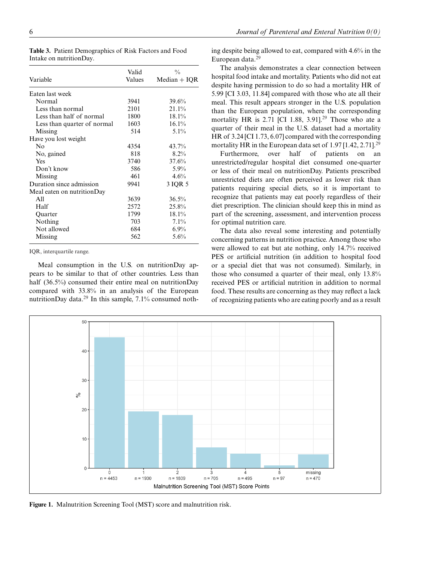| Variable                    | Valid<br>Values | $\frac{0}{0}$<br>$Median + IQR$ |
|-----------------------------|-----------------|---------------------------------|
| Eaten last week             |                 |                                 |
| Normal                      | 3941            | 39.6%                           |
| Less than normal            | 2101            | $21.1\%$                        |
| Less than half of normal    | 1800            | 18.1%                           |
| Less than quarter of normal | 1603            | 16.1%                           |
| Missing                     | 514             | $5.1\%$                         |
| Have you lost weight        |                 |                                 |
| Nο                          | 4354            | 43.7%                           |
| No, gained                  | 818             | 8.2%                            |
| Yes                         | 3740            | 37.6%                           |
| Don't know                  | 586             | $5.9\%$                         |
| Missing                     | 461             | 4.6%                            |
| Duration since admission    | 9941            | 3 IOR 5                         |
| Meal eaten on nutritionDay  |                 |                                 |
| A11                         | 3639            | 36.5%                           |
| Half                        | 2572            | 25.8%                           |
| Ouarter                     | 1799            | 18.1%                           |
| Nothing                     | 703             | $7.1\%$                         |
| Not allowed                 | 684             | 6.9%                            |
| Missing                     | 562             | 5.6%                            |

**Table 3.** Patient Demographics of Risk Factors and Food Intake on nutritionDay.

IQR, interquartile range.

Meal consumption in the U.S. on nutritionDay appears to be similar to that of other countries. Less than half (36.5%) consumed their entire meal on nutritionDay compared with 33.8% in an analysis of the European nutritionDay data.<sup>29</sup> In this sample, 7.1% consumed nothing despite being allowed to eat, compared with 4.6% in the European data.<sup>29</sup>

The analysis demonstrates a clear connection between hospital food intake and mortality. Patients who did not eat despite having permission to do so had a mortality HR of 5.99 [CI 3.03, 11.84] compared with those who ate all their meal. This result appears stronger in the U.S. population than the European population, where the corresponding mortality HR is  $2.71$  [CI 1.88,  $3.91$ ]<sup>29</sup> Those who ate a quarter of their meal in the U.S. dataset had a mortality HR of 3.24 [CI 1.73, 6.07] compared with the corresponding mortality HR in the European data set of  $1.97$  [1.42, 2.71].<sup>29</sup>

Furthermore, over half of patients on an unrestricted/regular hospital diet consumed one-quarter or less of their meal on nutritionDay. Patients prescribed unrestricted diets are often perceived as lower risk than patients requiring special diets, so it is important to recognize that patients may eat poorly regardless of their diet prescription. The clinician should keep this in mind as part of the screening, assessment, and intervention process for optimal nutrition care.

The data also reveal some interesting and potentially concerning patterns in nutrition practice. Among those who were allowed to eat but ate nothing, only 14.7% received PES or artificial nutrition (in addition to hospital food or a special diet that was not consumed). Similarly, in those who consumed a quarter of their meal, only 13.8% received PES or artificial nutrition in addition to normal food. These results are concerning as they may reflect a lack of recognizing patients who are eating poorly and as a result



**Figure 1.** Malnutrition Screening Tool (MST) score and malnutrition risk.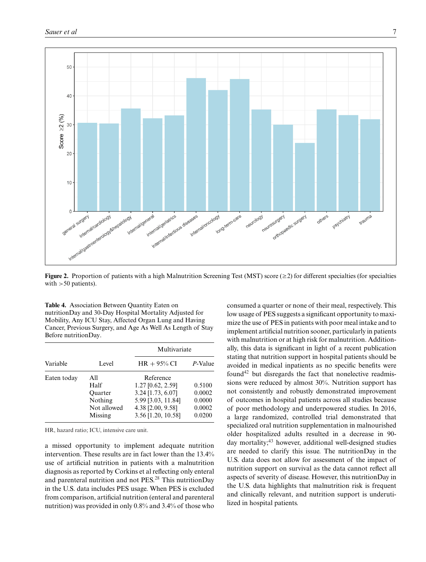

**Figure 2.** Proportion of patients with a high Malnutrition Screening Test (MST) score  $(\geq 2)$  for different specialties (for specialties with  $>50$  patients).

| <b>Table 4.</b> Association Between Quantity Eaten on       |
|-------------------------------------------------------------|
| nutritionDay and 30-Day Hospital Mortality Adjusted for     |
| Mobility, Any ICU Stay, Affected Organ Lung and Having      |
| Cancer, Previous Surgery, and Age As Well As Length of Stay |
| Before nutritionDay.                                        |

|             |                                                                    | Multivariate                                                                                                         |                                                |  |  |
|-------------|--------------------------------------------------------------------|----------------------------------------------------------------------------------------------------------------------|------------------------------------------------|--|--|
| Variable    | Level                                                              | $HR + 95\% CI$                                                                                                       | P-Value                                        |  |  |
| Eaten today | All<br>Half<br><b>Ouarter</b><br>Nothing<br>Not allowed<br>Missing | Reference<br>1.27 [0.62, 2.59]<br>3.24 [1.73, 6.07]<br>5.99 [3.03, 11.84]<br>4.38 [2.00, 9.58]<br>3.56 [1.20, 10.58] | 0.5100<br>0.0002<br>0.0000<br>0.0002<br>0.0200 |  |  |

HR, hazard ratio; ICU, intensive care unit.

a missed opportunity to implement adequate nutrition intervention. These results are in fact lower than the 13.4% use of artificial nutrition in patients with a malnutrition diagnosis as reported by Corkins et al reflecting only enteral and parenteral nutrition and not PES.<sup>28</sup> This nutritionDay in the U.S. data includes PES usage. When PES is excluded from comparison, artificial nutrition (enteral and parenteral nutrition) was provided in only 0.8% and 3.4% of those who consumed a quarter or none of their meal, respectively. This low usage of PES suggests a significant opportunity to maximize the use of PES in patients with poor meal intake and to implement artificial nutrition sooner, particularly in patients with malnutrition or at high risk for malnutrition. Additionally, this data is significant in light of a recent publication stating that nutrition support in hospital patients should be avoided in medical inpatients as no specific benefits were found<sup>42</sup> but disregards the fact that nonelective readmissions were reduced by almost 30%. Nutrition support has not consistently and robustly demonstrated improvement of outcomes in hospital patients across all studies because of poor methodology and underpowered studies. In 2016, a large randomized, controlled trial demonstrated that specialized oral nutrition supplementation in malnourished older hospitalized adults resulted in a decrease in 90 day mortality;<sup>43</sup> however, additional well-designed studies are needed to clarify this issue. The nutritionDay in the U.S. data does not allow for assessment of the impact of nutrition support on survival as the data cannot reflect all aspects of severity of disease. However, this nutritionDay in the U.S. data highlights that malnutrition risk is frequent and clinically relevant, and nutrition support is underutilized in hospital patients.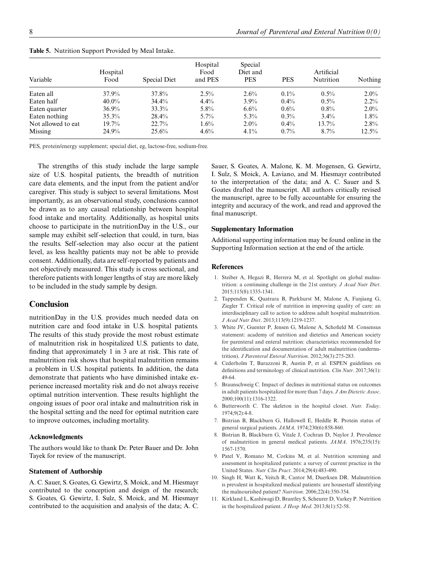| Variable           | Hospital<br>Food | Special Diet | Hospital<br>Food<br>and PES | Special<br>Diet and<br><b>PES</b> | <b>PES</b> | Artificial<br>Nutrition | Nothing  |
|--------------------|------------------|--------------|-----------------------------|-----------------------------------|------------|-------------------------|----------|
| Eaten all          | 37.9%            | 37.8%        | $2.5\%$                     | 2.6%                              | $0.1\%$    | $0.5\%$                 | $2.0\%$  |
| Eaten half         | $40.0\%$         | $34.4\%$     | $4.4\%$                     | $3.9\%$                           | $0.4\%$    | $0.5\%$                 | $2.2\%$  |
| Eaten quarter      | $36.9\%$         | $33.3\%$     | $5.8\%$                     | $6.6\%$                           | $0.6\%$    | $0.8\%$                 | $2.0\%$  |
| Eaten nothing      | $35.3\%$         | $28.4\%$     | $5.7\%$                     | $5.3\%$                           | $0.3\%$    | $3.4\%$                 | $1.8\%$  |
| Not allowed to eat | $19.7\%$         | 22.7%        | $1.6\%$                     | $2.0\%$                           | $0.4\%$    | 13.7%                   | $2.8\%$  |
| Missing            | 24.9%            | 25.6%        | 4.6%                        | $4.1\%$                           | 0.7%       | 8.7%                    | $12.5\%$ |
|                    |                  |              |                             |                                   |            |                         |          |

**Table 5.** Nutrition Support Provided by Meal Intake.

PES, protein/energy supplement; special diet, eg, lactose-free, sodium-free.

The strengths of this study include the large sample size of U.S. hospital patients, the breadth of nutrition care data elements, and the input from the patient and/or caregiver. This study is subject to several limitations. Most importantly, as an observational study, conclusions cannot be drawn as to any causal relationship between hospital food intake and mortality. Additionally, as hospital units choose to participate in the nutritionDay in the U.S., our sample may exhibit self -selection that could, in turn, bias the results. Self -selection may also occur at the patient level, as less healthy patients may not be able to provide consent. Additionally, data are self -reported by patients and not objectively measured. This study is cross sectional, and therefore patients with longer lengths of stay are more likely to be included in the study sample by design.

## **Conclusion**

nutritionDay in the U.S. provides much needed data on nutrition care and food intake in U.S. hospital patients. The results of this study provide the most robust estimate of malnutrition risk in hospitalized U.S. patients to date, finding that approximately 1 in 3 are at risk. This rate of malnutrition risk shows that hospital malnutrition remains a problem in U.S. hospital patients. In addition, the data demonstrate that patients who have diminished intake experience increased mortality risk and do not always receive optimal nutrition intervention. These results highlight the ongoing issues of poor oral intake and malnutrition risk in the hospital setting and the need for optimal nutrition care to improve outcomes, including mortality.

### **Acknowledgments**

The authors would like to thank Dr. Peter Bauer and Dr. John Tayek for review of the manuscript.

#### **Statement of Authorship**

A. C. Sauer, S. Goates, G. Gewirtz, S. Moick, and M. Hiesmayr contributed to the conception and design of the research; S. Goates, G. Gewirtz, I. Sulz, S. Moick, and M. Hiesmayr contributed to the acquisition and analysis of the data; A. C.

Sauer, S. Goates, A. Malone, K. M. Mogensen, G. Gewirtz, I. Sulz, S. Moick, A. Laviano, and M. Hiesmayr contributed to the interpretation of the data; and A. C. Sauer and S. Goates drafted the manuscript. All authors critically revised the manuscript, agree to be fully accountable for ensuring the integrity and accuracy of the work, and read and approved the final manuscript.

#### **Supplementary Information**

Additional supporting information may be found online in the Supporting Information section at the end of the article.

#### **References**

- 1. Steiber A, Hegazi R, Herrera M, et al. Spotlight on global malnutrition: a continuing challenge in the 21st century. *J Acad Nutr Diet*. 2015;115(8):1335-1341.
- 2. Tappenden K, Quatrara B, Parkhurst M, Malone A, Fanjiang G, Ziegler T. Critical role of nutrition in improving quality of care: an interdisciplinary call to action to address adult hospital malnutrition. *J Acad Nutr Diet*. 2013;113(9):1219-1237.
- 3. White JV, Guenter P, Jensen G, Malone A, Schofield M. Consensus statement: academy of nutrition and dietetics and American society for parenteral and enteral nutrition: characteristics recommended for the identification and documentation of adult malnutrition (undernutrition). *J Parenteral Enteral Nutrition*. 2012;36(3):275-283.
- 4. Cederholm T, Barazzoni R, Austin P, et al. ESPEN guidelines on definitions and terminology of clinical nutrition. *Clin Nutr*. 2017;36(1): 49-64.
- 5. Braunschweig C. Impact of declines in nutritional status on outcomes in adult patients hospitalized for more than 7 days. *J Am Dietetic Assoc*. 2000;100(11):1316-1322.
- 6. Butterworth C. The skeleton in the hospital closet. *Nutr. Today*. 1974;9(2):4-8.
- 7. Bistrian B, Blackburn G, Hallowell E, Heddle R. Protein status of general surgical patients. *JAMA*. 1974;230(6):858-860.
- 8. Bistrian B, Blackburn G, Vitale J, Cochran D, Naylor J. Prevalence of malnutrition in general medical patients. *JAMA*. 1976;235(15): 1567-1570.
- 9. Patel V, Romano M, Corkins M, et al. Nutrition screening and assessment in hospitalized patients: a survey of current practice in the United States. *Nutr Clin Pract*. 2014;29(4):483-490.
- 10. Singh H, Watt K, Veitch R, Cantor M, Duerksen DR. Malnutrition is prevalent in hospitalized medical patients: are housestaff identifying the malnourished patient? *Nutrition*. 2006;22(4):350-354.
- 11. Kirkland L, Kashiwagi D, Brantley S, Scheurer D, Varkey P. Nutrition in the hospitalized patient. *J Hosp Med*. 2013;8(1):52-58.